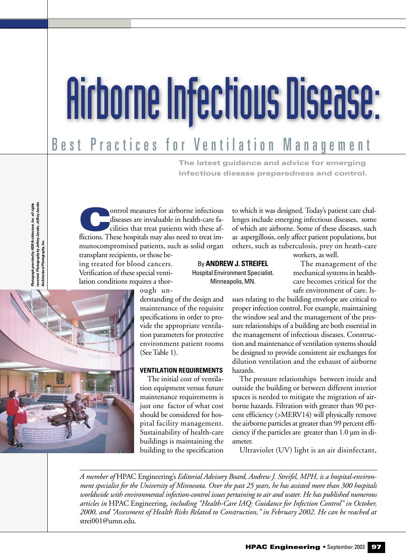# Airborne Infectious Disease:

# coefor Ventiletien Menage Best Practices for Ventilation Management

**The latest guidance and advice for emerging infectious disease preparedness and control.** 

graph provided by HDR Architecture, Inc. all rights<br>ved. Photography by Jeffrey Jacobs, Jeffrey Jacobs<br>tectural Photography, Inc. *reserved. Photography by Jeffrey Jacobs, Jeffrey Jacobs Photograph provided by HDR Architecture, Inc. all rights Architectural Photography, Inc.* resei<br>Arch

ontrol measures for airborne infectious diseases are invaluable in health-care facilities that treat patients with these afflictions. These hospitals may also need to treat immunocompromised patients, such as solid organ transplant recipients, or those be-

ing treated for blood cancers. Verification of these special ventilation conditions requires a thor-

to which it was designed. Today's patient care challenges include emerging infectious diseases, some of which are airborne. Some of these diseases, such as aspergillosis, only affect patient populations, but others, such as tuberculosis, prey on heath-care

workers, as well.

By **ANDREW J. STREIFEL** Hospital Environment Specialist. Minneapolis, MN.

The management of the mechanical systems in healthcare becomes critical for the safe environment of care. Is-



ough un-

derstanding of the design and maintenance of the requisite specifications in order to provide the appropriate ventilation parameters for protective environment patient rooms (See Table 1).

### **VENTILATION REQUIREMENTS**

The initial cost of ventilation equipment versus future maintenance requirements is just one factor of what cost should be considered for hospital facility management. Sustainability of health-care buildings is maintaining the building to the specification sues relating to the building envelope are critical to proper infection control. For example, maintaining the window seal and the management of the pressure relationships of a building are both essential in the management of infectious diseases. Construction and maintenance of ventilation systems should be designed to provide consistent air exchanges for dilution ventilation and the exhaust of airborne hazards.

The pressure relationships between inside and outside the building or between different interior spaces is needed to mitigate the migration of airborne hazards. Filtration with greater than 90 percent efficiency (>MERV14) will physically remove the airborne particles at greater than 99 percent efficiency if the particles are greater than 1.0 µm in diameter.

Ultraviolet (UV) light is an air disinfectant,

*A member of* HPAC Engineering's *Editorial Advisory Board, Andrew J. Streifel, MPH, is a hospital-environment specialist for the University of Minnesota. Over the past 25 years, he has assisted more than 300 hospitals worldwide with environmental infection-control issues pertaining to air and water. He has published numerous articles in* HPAC Engineering*, including "Health-Care IAQ: Guidance for Infection Control" in October, 2000, and "Assessment of Health Risks Related to Construction," in February 2002. He can be reached at* strei001@umn.edu.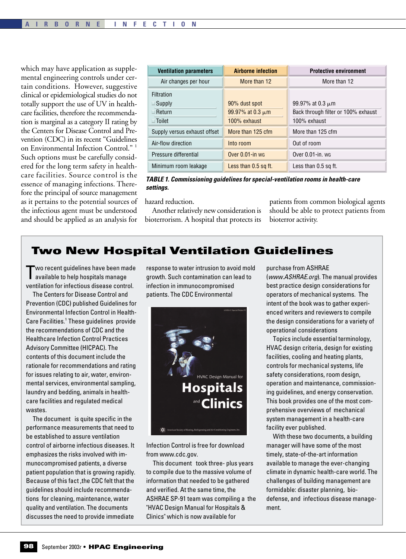which may have application as supplemental engineering controls under certain conditions. However, suggestive clinical or epidemiological studies do not totally support the use of UV in healthcare facilities, therefore the recommendation is marginal as a category II rating by the Centers for Disease Control and Prevention (CDC) in its recent "Guidelines on Environmental Infection Control." 1 Such options must be carefully considered for the long term safety in healthcare facilities. Source control is the essence of managing infections. Therefore the principal of source management as it pertains to the potential sources of the infectious agent must be understood and should be applied as an analysis for

| <b>Ventilation parameters</b>                          | <b>Airborne infection</b>                              | <b>Protective environment</b>                                                |
|--------------------------------------------------------|--------------------------------------------------------|------------------------------------------------------------------------------|
| Air changes per hour                                   | More than 12                                           | More than 12                                                                 |
| Filtration<br>Supply<br>$\Box$ Return<br>$\Box$ Toilet | 90% dust spot<br>99.97% at 0.3 $\mu$ m<br>100% exhaust | 99.97% at 0.3 $\mu$ m<br>Back through filter or 100% exhaust<br>100% exhaust |
| Supply versus exhaust offset                           | More than 125 cfm                                      | More than 125 cfm                                                            |
| Air-flow direction                                     | Into room                                              | Out of room                                                                  |
| Pressure differential                                  | Over 0.01-in wg                                        | Over $0.01$ -in. wg                                                          |
| Minimum room leakage                                   | Less than 0.5 sq ft.                                   | Less than 0.5 sq ft.                                                         |

*TABLE 1. Commissioning guidelines for special-ventilation rooms in health-care settings.*

hazard reduction.

Another relatively new consideration is bioterrorism. A hospital that protects its patients from common biological agents should be able to protect patients from bioterror activity.

## **Two New Hospital Ventilation Guidelines**

Two recent guidelines have been made available to help hospitals manage ventilation for infectious disease control.

The Centers for Disease Control and Prevention (CDC) published Guidelines for Environmental Infection Control in Health-Care Facilities.<sup>1</sup> These guidelines provide the recommendations of CDC and the Healthcare Infection Control Practices Advisory Committee (HICPAC). The contents of this document include the rationale for recommendations and rating for issues relating to air, water, environmental services, environmental sampling, laundry and bedding, animals in healthcare facilities and regulated medical wastes.

The document is quite specific in the performance measurements that need to be established to assure ventilation control of airborne infectious diseases. It emphasizes the risks involved with immunocompromised patients, a diverse patient population that is growing rapidly. Because of this fact ,the CDC felt that the guidelines should include recommendations for cleaning, maintenance, water quality and ventilation. The documents discusses the need to provide immediate

response to water intrusion to avoid mold growth. Such contamination can lead to infection in immunocompromised patients. The CDC Environmental



Infection Control is free for download from www.cdc.gov.

This document took three- plus years to compile due to the massive volume of information that needed to be gathered and verified. At the same time, the ASHRAE SP-91 team was compiling a the "HVAC Design Manual for Hospitals & Clinics" which is now available for

purchase from ASHRAE

(*www.ASHRAE.org*). The manual provides best practice design considerations for operators of mechanical systems. The intent of the book was to gather experienced writers and reviewers to compile the design considerations for a variety of operational considerations

Topics include essential terminology, HVAC design criteria, design for existing facilities, cooling and heating plants, controls for mechanical systems, life safety considerations, room design, operation and maintenance, commissioning guidelines, and energy conservation. This book provides one of the most comprehensive overviews of mechanical system management in a health-care facility ever published.

With these two documents, a building manager will have some of the most timely, state-of-the-art information available to manage the ever-changing climate in dynamic health-care world. The challenges of building management are formidable: disaster planning, biodefense, and infectious disease management.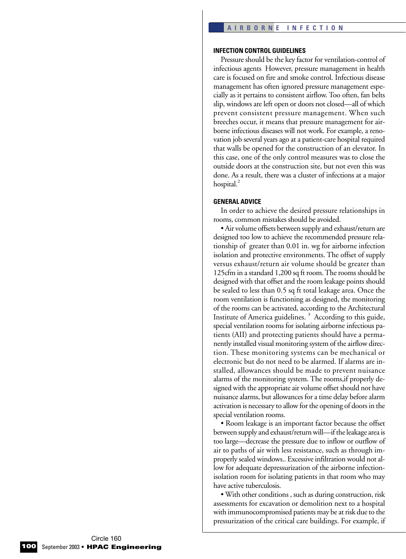### **INFECTION CONTROL GUIDELINES**

Pressure should be the key factor for ventilation-control of infectious agents However, pressure management in health care is focused on fire and smoke control. Infectious disease management has often ignored pressure management especially as it pertains to consistent airflow. Too often, fan belts slip, windows are left open or doors not closed—all of which prevent consistent pressure management. When such breeches occur, it means that pressure management for airborne infectious diseases will not work. For example, a renovation job several years ago at a patient-care hospital required that walls be opened for the construction of an elevator. In this case, one of the only control measures was to close the outside doors at the construction site, but not even this was done. As a result, there was a cluster of infections at a major hospital. $<sup>2</sup>$ </sup>

### **GENERAL ADVICE**

In order to achieve the desired pressure relationships in rooms, common mistakes should be avoided.

• Air volume offsets between supply and exhaust/return are designed too low to achieve the recommended pressure relationship of greater than 0.01 in. wg for airborne infection isolation and protective environments. The offset of supply versus exhaust/return air volume should be greater than 125cfm in a standard 1,200 sq ft room. The rooms should be designed with that offset and the room leakage points should be sealed to less than 0.5 sq ft total leakage area. Once the room ventilation is functioning as designed, the monitoring of the rooms can be activated, according to the Architectural Institute of America guidelines.<sup>3</sup> According to this guide, special ventilation rooms for isolating airborne infectious patients (AII) and protecting patients should have a permanently installed visual monitoring system of the airflow direction. These monitoring systems can be mechanical or electronic but do not need to be alarmed. If alarms are installed, allowances should be made to prevent nuisance alarms of the monitoring system. The rooms,if properly designed with the appropriate air volume offset should not have nuisance alarms, but allowances for a time delay before alarm activation is necessary to allow for the opening of doors in the special ventilation rooms.

• Room leakage is an important factor because the offset between supply and exhaust/return will—if the leakage area is too large—decrease the pressure due to inflow or outflow of air to paths of air with less resistance, such as through improperly sealed windows.. Excessive infiltration would not allow for adequate depressurization of the airborne infectionisolation room for isolating patients in that room who may have active tuberculosis.

• With other conditions , such as during construction, risk assessments for excavation or demolition next to a hospital with immunocompromised patients may be at risk due to the pressurization of the critical care buildings. For example, if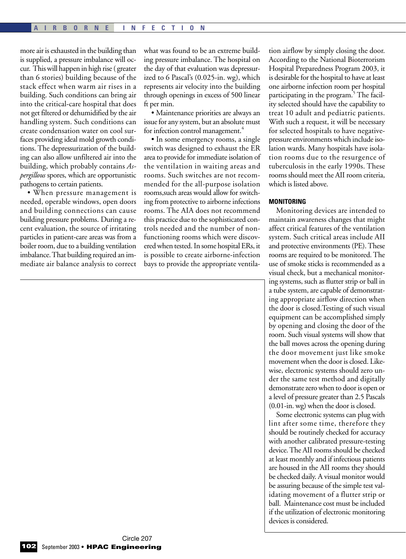more air is exhausted in the building than is supplied, a pressure imbalance will occur. This will happen in high rise ( greater than 6 stories) building because of the stack effect when warm air rises in a building. Such conditions can bring air into the critical-care hospital that does not get filtered or dehumidified by the air handling system. Such conditions can create condensation water on cool surfaces providing ideal mold growth conditions. The depressurization of the building can also allow unfiltered air into the building, which probably contains *Aspergillous* spores, which are opportunistic pathogens to certain patients.

• When pressure management is needed, operable windows, open doors and building connections can cause building pressure problems. During a recent evaluation, the source of irritating particles in patient-care areas was from a boiler room, due to a building ventilation imbalance. That building required an immediate air balance analysis to correct what was found to be an extreme building pressure imbalance. The hospital on the day of that evaluation was depressurized to 6 Pascal's (0.025-in. wg), which represents air velocity into the building through openings in excess of 500 linear ft per min.

• Maintenance priorities are always an issue for any system, but an absolute must for infection control management.<sup>4</sup>

• In some emergency rooms, a single switch was designed to exhaust the ER area to provide for immediate isolation of the ventilation in waiting areas and rooms. Such switches are not recommended for the all-purpose isolation rooms,such areas would allow for switching from protective to airborne infections rooms. The AIA does not recommend this practice due to the sophisticated controls needed and the number of nonfunctioning rooms which were discovered when tested. In some hospital ERs, it is possible to create airborne-infection bays to provide the appropriate ventilation airflow by simply closing the door. According to the National Bioterrorism Hospital Preparedness Program 2003, it is desirable for the hospital to have at least one airborne infection room per hospital participating in the program.<sup>5</sup> The facility selected should have the capability to treat 10 adult and pediatric patients. With such a request, it will be necessary for selected hospitals to have negativepressure environments which include isolation wards. Many hospitals have isolation rooms due to the resurgence of tuberculosis in the early 1990s. These rooms should meet the AII room criteria, which is listed above.

### **MONITORING**

Monitoring devices are intended to maintain awareness changes that might affect critical features of the ventilation system. Such critical areas include AII and protective environments (PE). These rooms are required to be monitored. The use of smoke sticks is recommended as a visual check, but a mechanical monitoring systems, such as flutter strip or ball in a tube system, are capable of demonstrating appropriate airflow direction when the door is closed.Testing of such visual equipment can be accomplished simply by opening and closing the door of the room. Such visual systems will show that the ball moves across the opening during the door movement just like smoke movement when the door is closed. Likewise, electronic systems should zero under the same test method and digitally demonstrate zero when to door is open or a level of pressure greater than 2.5 Pascals (0.01-in. wg) when the door is closed.

Some electronic systems can plug with lint after some time, therefore they should be routinely checked for accuracy with another calibrated pressure-testing device. The AII rooms should be checked at least monthly and if infectious patients are housed in the AII rooms they should be checked daily. A visual monitor would be assuring because of the simple test validating movement of a flutter strip or ball. Maintenance cost must be included if the utilization of electronic monitoring devices is considered.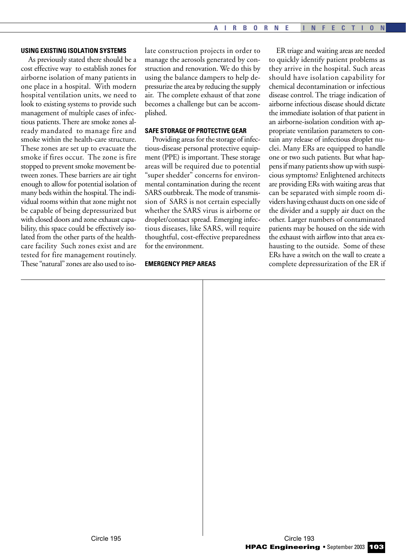### **USING EXISTING ISOLATION SYSTEMS**

As previously stated there should be a cost effective way to establish zones for airborne isolation of many patients in one place in a hospital. With modern hospital ventilation units, we need to look to existing systems to provide such management of multiple cases of infectious patients. There are smoke zones already mandated to manage fire and smoke within the health-care structure. These zones are set up to evacuate the smoke if fires occur. The zone is fire stopped to prevent smoke movement between zones. These barriers are air tight enough to allow for potential isolation of many beds within the hospital. The individual rooms within that zone might not be capable of being depressurized but with closed doors and zone exhaust capability, this space could be effectively isolated from the other parts of the healthcare facility Such zones exist and are tested for fire management routinely. These "natural" zones are also used to isolate construction projects in order to manage the aerosols generated by construction and renovation. We do this by using the balance dampers to help depressurize the area by reducing the supply air. The complete exhaust of that zone becomes a challenge but can be accomplished.

### **SAFE STORAGE OF PROTECTIVE GEAR**

Providing areas for the storage of infectious-disease personal protective equipment (PPE) is important. These storage areas will be required due to potential "super shedder" concerns for environmental contamination during the recent SARS outbbreak. The mode of transmission of SARS is not certain especially whether the SARS virus is airborne or droplet/contact spread. Emerging infectious diseases, like SARS, will require thoughtful, cost-effective preparedness for the environment.

### **EMERGENCY PREP AREAS**

ER triage and waiting areas are needed to quickly identify patient problems as they arrive in the hospital. Such areas should have isolation capability for chemical decontamination or infectious disease control. The triage indication of airborne infectious disease should dictate the immediate isolation of that patient in an airborne-isolation condition with appropriate ventilation parameters to contain any release of infectious droplet nuclei. Many ERs are equipped to handle one or two such patients. But what happens if many patients show up with suspicious symptoms? Enlightened architects are providing ERs with waiting areas that can be separated with simple room dividers having exhaust ducts on one side of the divider and a supply air duct on the other. Larger numbers of contaminated patients may be housed on the side with the exhaust with airflow into that area exhausting to the outside. Some of these ERs have a switch on the wall to create a complete depressurization of the ER if